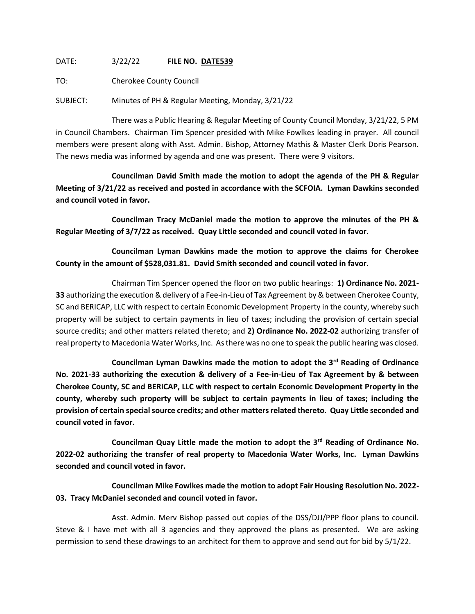DATE: 3/22/22 **FILE NO. DATE539**

TO: Cherokee County Council

SUBJECT: Minutes of PH & Regular Meeting, Monday, 3/21/22

There was a Public Hearing & Regular Meeting of County Council Monday, 3/21/22, 5 PM in Council Chambers. Chairman Tim Spencer presided with Mike Fowlkes leading in prayer. All council members were present along with Asst. Admin. Bishop, Attorney Mathis & Master Clerk Doris Pearson. The news media was informed by agenda and one was present. There were 9 visitors.

**Councilman David Smith made the motion to adopt the agenda of the PH & Regular Meeting of 3/21/22 as received and posted in accordance with the SCFOIA. Lyman Dawkins seconded and council voted in favor.**

**Councilman Tracy McDaniel made the motion to approve the minutes of the PH & Regular Meeting of 3/7/22 as received. Quay Little seconded and council voted in favor.**

**Councilman Lyman Dawkins made the motion to approve the claims for Cherokee County in the amount of \$528,031.81. David Smith seconded and council voted in favor.**

Chairman Tim Spencer opened the floor on two public hearings: **1) Ordinance No. 2021- 33** authorizing the execution & delivery of a Fee-in-Lieu of Tax Agreement by & between Cherokee County, SC and BERICAP, LLC with respect to certain Economic Development Property in the county, whereby such property will be subject to certain payments in lieu of taxes; including the provision of certain special source credits; and other matters related thereto; and **2) Ordinance No. 2022-02** authorizing transfer of real property to Macedonia Water Works, Inc. As there was no one to speak the public hearing was closed.

**Councilman Lyman Dawkins made the motion to adopt the 3rd Reading of Ordinance No. 2021-33 authorizing the execution & delivery of a Fee-in-Lieu of Tax Agreement by & between Cherokee County, SC and BERICAP, LLC with respect to certain Economic Development Property in the county, whereby such property will be subject to certain payments in lieu of taxes; including the provision of certain special source credits; and other matters related thereto. Quay Little seconded and council voted in favor.**

**Councilman Quay Little made the motion to adopt the 3rd Reading of Ordinance No. 2022-02 authorizing the transfer of real property to Macedonia Water Works, Inc. Lyman Dawkins seconded and council voted in favor.**

**Councilman Mike Fowlkes made the motion to adopt Fair Housing Resolution No. 2022- 03. Tracy McDaniel seconded and council voted in favor.**

Asst. Admin. Merv Bishop passed out copies of the DSS/DJJ/PPP floor plans to council. Steve & I have met with all 3 agencies and they approved the plans as presented. We are asking permission to send these drawings to an architect for them to approve and send out for bid by 5/1/22.